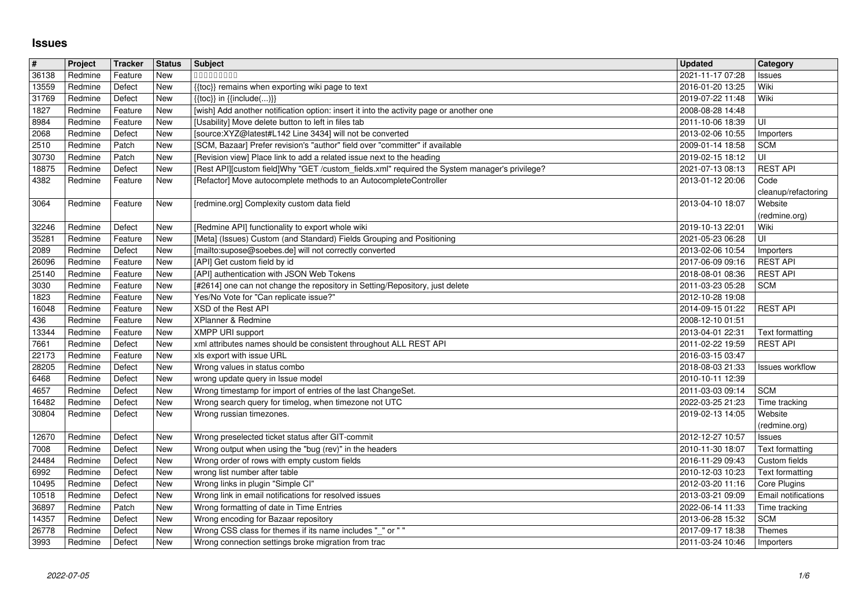## **Issues**

| $\pmb{\#}$     | Project            | Tracker            | <b>Status</b>     | Subject                                                                                                                                               | <b>Updated</b>                       | Category                                        |
|----------------|--------------------|--------------------|-------------------|-------------------------------------------------------------------------------------------------------------------------------------------------------|--------------------------------------|-------------------------------------------------|
| 36138          | Redmine            | Feature            | New<br><b>New</b> | 000000000                                                                                                                                             | 2021-11-17 07:28<br>2016-01-20 13:25 | Issues<br>Wiki                                  |
| 13559<br>31769 | Redmine<br>Redmine | Defect<br>Defect   | New               | {{toc}} remains when exporting wiki page to text<br>$\{\{\text{toc}\}\}\$ in $\{\{\text{include}()\}\}$                                               | 2019-07-22 11:48                     | Wiki                                            |
| 1827           | Redmine            | Feature            | New               | [wish] Add another notification option: insert it into the activity page or another one                                                               | 2008-08-28 14:48                     |                                                 |
| 8984           | Redmine            | Feature            | New               | [Usability] Move delete button to left in files tab                                                                                                   | 2011-10-06 18:39                     | ΙUΙ                                             |
| 2068           | Redmine            | Defect             | New               | [source:XYZ@latest#L142 Line 3434] will not be converted                                                                                              | 2013-02-06 10:55                     | Importers                                       |
| 2510<br>30730  | Redmine<br>Redmine | Patch<br>Patch     | New<br>New        | [SCM, Bazaar] Prefer revision's "author" field over "committer" if available<br>[Revision view] Place link to add a related issue next to the heading | 2009-01-14 18:58<br>2019-02-15 18:12 | <b>SCM</b><br>l UI                              |
| 18875          | Redmine            | Defect             | New               | [Rest API][custom field]Why "GET /custom_fields.xml" required the System manager's privilege?                                                         | 2021-07-13 08:13                     | <b>REST API</b>                                 |
| 4382           | Redmine            | Feature            | New               | [Refactor] Move autocomplete methods to an AutocompleteController                                                                                     | 2013-01-12 20:06                     | Code                                            |
| 3064           | Redmine            | Feature            | New               | [redmine.org] Complexity custom data field                                                                                                            | 2013-04-10 18:07                     | cleanup/refactoring<br>Website<br>(redmine.org) |
| 32246          | Redmine            | Defect             | New               | [Redmine API] functionality to export whole wiki                                                                                                      | 2019-10-13 22:01                     | Wiki                                            |
| 35281<br>2089  | Redmine<br>Redmine | Feature<br>Defect  | <b>New</b><br>New | [Meta] (Issues) Custom (and Standard) Fields Grouping and Positioning<br>[mailto:supose@soebes.de] will not correctly converted                       | 2021-05-23 06:28<br>2013-02-06 10:54 | UI<br>Importers                                 |
| 26096          | Redmine            | Feature            | New               | [API] Get custom field by id                                                                                                                          | 2017-06-09 09:16                     | <b>REST API</b>                                 |
| 25140          | Redmine            | Feature            | <b>New</b>        | [API] authentication with JSON Web Tokens                                                                                                             | 2018-08-01 08:36                     | <b>REST API</b>                                 |
| 3030<br>1823   | Redmine<br>Redmine | Feature<br>Feature | New<br>New        | [#2614] one can not change the repository in Setting/Repository, just delete<br>Yes/No Vote for "Can replicate issue?"                                | 2011-03-23 05:28<br>2012-10-28 19:08 | <b>SCM</b>                                      |
| 16048          | Redmine            | Feature            | New               | XSD of the Rest API                                                                                                                                   | 2014-09-15 01:22                     | <b>REST API</b>                                 |
| 436            | Redmine            | Feature            | New               | XPlanner & Redmine                                                                                                                                    | 2008-12-10 01:51                     |                                                 |
| 13344<br>7661  | Redmine<br>Redmine | Feature<br>Defect  | New<br>New        | <b>XMPP URI support</b><br>xml attributes names should be consistent throughout ALL REST API                                                          | 2013-04-01 22:31<br>2011-02-22 19:59 | Text formatting<br><b>REST API</b>              |
| 22173          | Redmine            | Feature            | New               | xls export with issue URL                                                                                                                             | 2016-03-15 03:47                     |                                                 |
| 28205          | Redmine            | Defect             | <b>New</b>        | Wrong values in status combo                                                                                                                          | 2018-08-03 21:33                     | <b>Issues workflow</b>                          |
| 6468           | Redmine            | Defect<br>Defect   | New               | wrong update query in Issue model<br>Wrong timestamp for import of entries of the last ChangeSet.                                                     | 2010-10-11 12:39                     | <b>SCM</b>                                      |
| 4657<br>16482  | Redmine<br>Redmine | Defect             | New<br>New        | Wrong search query for timelog, when timezone not UTC                                                                                                 | 2011-03-03 09:14<br>2022-03-25 21:23 | Time tracking                                   |
| 30804          | Redmine            | Defect             | New               | Wrong russian timezones.                                                                                                                              | 2019-02-13 14:05                     | Website                                         |
|                |                    |                    |                   |                                                                                                                                                       |                                      | (redmine.org)                                   |
| 12670<br>7008  | Redmine<br>Redmine | Defect<br>Defect   | New<br>New        | Wrong preselected ticket status after GIT-commit<br>Wrong output when using the "bug (rev)" in the headers                                            | 2012-12-27 10:57<br>2010-11-30 18:07 | <b>Issues</b><br>Text formatting                |
| 24484          | Redmine            | Defect             | New               | Wrong order of rows with empty custom fields                                                                                                          | 2016-11-29 09:43                     | Custom fields                                   |
| 6992           | Redmine            | Defect             | New               | wrong list number after table                                                                                                                         | 2010-12-03 10:23                     | Text formatting                                 |
| 10495<br>10518 | Redmine<br>Redmine | Defect<br>Defect   | New<br>New        | Wrong links in plugin "Simple CI"<br>Wrong link in email notifications for resolved issues                                                            | 2012-03-20 11:16<br>2013-03-21 09:09 | Core Plugins<br>Email notifications             |
| 36897          | Redmine            | Patch              | <b>New</b>        | Wrong formatting of date in Time Entries                                                                                                              | 2022-06-14 11:33                     | Time tracking                                   |
| 14357          | Redmine            | Defect             | New               | Wrong encoding for Bazaar repository                                                                                                                  | 2013-06-28 15:32                     | SCM                                             |
| 26778<br>3993  | Redmine<br>Redmine | Defect<br>Defect   | <b>New</b><br>New | Wrong CSS class for themes if its name includes "_" or ""<br>Wrong connection settings broke migration from trac                                      | 2017-09-17 18:38<br>2011-03-24 10:46 | Themes<br>Importers                             |
|                |                    |                    |                   |                                                                                                                                                       |                                      |                                                 |
|                |                    |                    |                   |                                                                                                                                                       |                                      |                                                 |
|                |                    |                    |                   |                                                                                                                                                       |                                      |                                                 |
|                |                    |                    |                   |                                                                                                                                                       |                                      |                                                 |
|                |                    |                    |                   |                                                                                                                                                       |                                      |                                                 |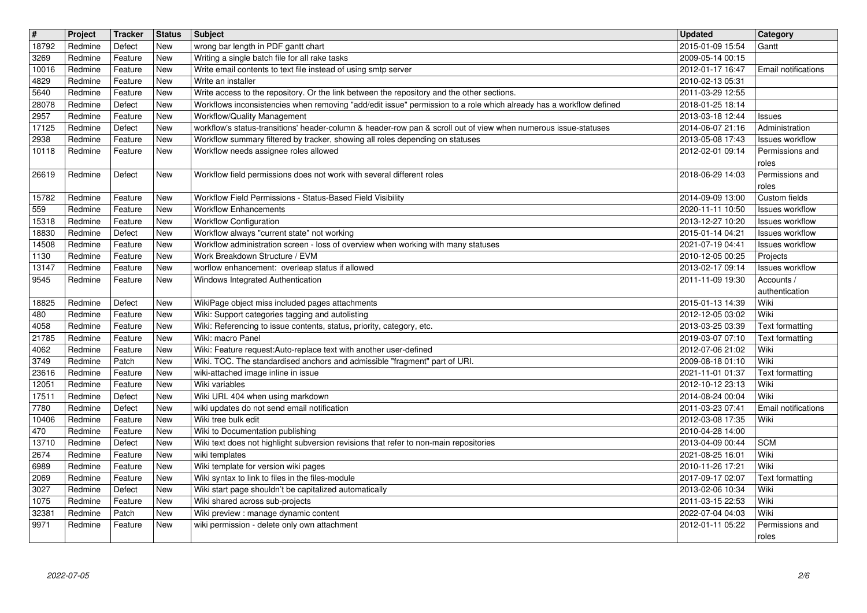| $\sqrt{\frac{4}{15}}$ | Project            | Tracker            | <b>Status</b>     | <b>Subject</b>                                                                                                                                                                                                   | <b>Updated</b>                       | Category                                  |
|-----------------------|--------------------|--------------------|-------------------|------------------------------------------------------------------------------------------------------------------------------------------------------------------------------------------------------------------|--------------------------------------|-------------------------------------------|
| 18792<br>3269         | Redmine<br>Redmine | Defect<br>Feature  | <b>New</b><br>New | wrong bar length in PDF gantt chart<br>Writing a single batch file for all rake tasks                                                                                                                            | 2015-01-09 15:54<br>2009-05-14 00:15 | Gantt                                     |
| 10016                 | Redmine            | Feature            | New               | Write email contents to text file instead of using smtp server                                                                                                                                                   | 2012-01-17 16:47                     | <b>Email notifications</b>                |
| 4829                  | Redmine            | Feature            | New               | Write an installer                                                                                                                                                                                               | 2010-02-13 05:31                     |                                           |
| 5640<br>28078         | Redmine<br>Redmine | Feature<br>Defect  | New<br>New        | Write access to the repository. Or the link between the repository and the other sections.<br>Workflows inconsistencies when removing "add/edit issue" permission to a role which already has a workflow defined | 2011-03-29 12:55<br>2018-01-25 18:14 |                                           |
| 2957                  | Redmine            | Feature            | New               | Workflow/Quality Management                                                                                                                                                                                      | 2013-03-18 12:44                     | Issues                                    |
| 17125<br>2938         | Redmine<br>Redmine | Defect<br>Feature  | New<br><b>New</b> | workflow's status-transitions' header-column & header-row pan & scroll out of view when numerous issue-statuses<br>Workflow summary filtered by tracker, showing all roles depending on statuses                 | 2014-06-07 21:16<br>2013-05-08 17:43 | Administration<br><b>Issues workflow</b>  |
| 10118                 | Redmine            | Feature            | New               | Workflow needs assignee roles allowed                                                                                                                                                                            | 2012-02-01 09:14                     | Permissions and                           |
|                       |                    |                    |                   |                                                                                                                                                                                                                  |                                      | roles                                     |
| 26619                 | Redmine            | Defect             | <b>New</b>        | Workflow field permissions does not work with several different roles                                                                                                                                            | 2018-06-29 14:03                     | Permissions and<br>roles                  |
| 15782                 | Redmine            | Feature            | New               | Workflow Field Permissions - Status-Based Field Visibility                                                                                                                                                       | 2014-09-09 13:00                     | Custom fields                             |
| 559<br>15318          | Redmine<br>Redmine | Feature<br>Feature | New<br>New        | <b>Workflow Enhancements</b><br><b>Workflow Configuration</b>                                                                                                                                                    | 2020-11-11 10:50<br>2013-12-27 10:20 | Issues workflow<br><b>Issues workflow</b> |
| 18830                 | Redmine            | Defect             | New               | Workflow always "current state" not working                                                                                                                                                                      | 2015-01-14 04:21                     | Issues workflow                           |
| 14508                 | Redmine            | Feature            | New               | Workflow administration screen - loss of overview when working with many statuses                                                                                                                                | 2021-07-19 04:41                     | Issues workflow                           |
| 1130<br>13147         | Redmine<br>Redmine | Feature<br>Feature | New<br>New        | Work Breakdown Structure / EVM<br>worflow enhancement: overleap status if allowed                                                                                                                                | 2010-12-05 00:25<br>2013-02-17 09:14 | Projects<br>Issues workflow               |
| 9545                  | Redmine            | Feature            | New               | Windows Integrated Authentication                                                                                                                                                                                | 2011-11-09 19:30                     | Accounts /                                |
| 18825                 | Redmine            | Defect             | New               | WikiPage object miss included pages attachments                                                                                                                                                                  | 2015-01-13 14:39                     | authentication<br>Wiki                    |
| 480                   | Redmine            | Feature            | New               | Wiki: Support categories tagging and autolisting                                                                                                                                                                 | 2012-12-05 03:02                     | Wiki                                      |
| 4058                  | Redmine            | Feature            | New               | Wiki: Referencing to issue contents, status, priority, category, etc.                                                                                                                                            | 2013-03-25 03:39                     | <b>Text formatting</b>                    |
| 21785<br>4062         | Redmine<br>Redmine | Feature<br>Feature | New<br>New        | Wiki: macro Panel<br>Wiki: Feature request:Auto-replace text with another user-defined                                                                                                                           | 2019-03-07 07:10<br>2012-07-06 21:02 | Text formatting<br>Wiki                   |
| 3749                  | Redmine            | Patch              | New               | Wiki. TOC. The standardised anchors and admissible "fragment" part of URI.                                                                                                                                       | 2009-08-18 01:10                     | Wiki                                      |
| 23616<br>12051        | Redmine<br>Redmine | Feature<br>Feature | New<br>New        | wiki-attached image inline in issue<br>Wiki variables                                                                                                                                                            | 2021-11-01 01:37<br>2012-10-12 23:13 | Text formatting<br>Wiki                   |
| 17511                 | Redmine            | Defect             | New               | Wiki URL 404 when using markdown                                                                                                                                                                                 | 2014-08-24 00:04                     | Wiki                                      |
| 7780                  | Redmine            | Defect             | New               | wiki updates do not send email notification                                                                                                                                                                      | 2011-03-23 07:41                     | Email notifications                       |
| 10406<br>470          | Redmine<br>Redmine | Feature<br>Feature | New<br>New        | Wiki tree bulk edit<br>Wiki to Documentation publishing                                                                                                                                                          | 2012-03-08 17:35<br>2010-04-28 14:00 | Wiki                                      |
| 13710                 | Redmine            | Defect             | New               | Wiki text does not highlight subversion revisions that refer to non-main repositories                                                                                                                            | 2013-04-09 00:44                     | <b>SCM</b>                                |
| 2674<br>6989          | Redmine<br>Redmine | Feature<br>Feature | New<br>New        | wiki templates<br>Wiki template for version wiki pages                                                                                                                                                           | 2021-08-25 16:01<br>2010-11-26 17:21 | Wiki<br>Wiki                              |
| 2069                  | Redmine            | Feature            | New               | Wiki syntax to link to files in the files-module                                                                                                                                                                 | 2017-09-17 02:07                     | Text formatting                           |
| $3027$                | Redmine            | Defect             | New               | Wiki start page shouldn't be capitalized automatically                                                                                                                                                           | 2013-02-06 10:34                     | Wiki                                      |
| 1075<br>32381         | Redmine<br>Redmine | Feature<br>Patch   | <b>New</b><br>New | Wiki shared across sub-projects<br>Wiki preview : manage dynamic content                                                                                                                                         | 2011-03-15 22:53<br>2022-07-04 04:03 | Wiki<br>Wiki                              |
| 9971                  | Redmine            | Feature            | New               | wiki permission - delete only own attachment                                                                                                                                                                     | 2012-01-11 05:22                     | Permissions and<br>roles                  |
|                       |                    |                    |                   |                                                                                                                                                                                                                  |                                      |                                           |
|                       |                    |                    |                   |                                                                                                                                                                                                                  |                                      |                                           |
|                       |                    |                    |                   |                                                                                                                                                                                                                  |                                      |                                           |
|                       |                    |                    |                   |                                                                                                                                                                                                                  |                                      |                                           |
|                       |                    |                    |                   |                                                                                                                                                                                                                  |                                      |                                           |
|                       |                    |                    |                   |                                                                                                                                                                                                                  |                                      |                                           |
|                       |                    |                    |                   |                                                                                                                                                                                                                  |                                      |                                           |
|                       |                    |                    |                   |                                                                                                                                                                                                                  |                                      |                                           |
|                       |                    |                    |                   |                                                                                                                                                                                                                  |                                      |                                           |
|                       |                    |                    |                   |                                                                                                                                                                                                                  |                                      |                                           |
|                       |                    |                    |                   |                                                                                                                                                                                                                  |                                      |                                           |
|                       |                    |                    |                   |                                                                                                                                                                                                                  |                                      |                                           |
|                       |                    |                    |                   |                                                                                                                                                                                                                  |                                      |                                           |
|                       |                    |                    |                   |                                                                                                                                                                                                                  |                                      |                                           |
|                       |                    |                    |                   |                                                                                                                                                                                                                  |                                      |                                           |
|                       |                    |                    |                   |                                                                                                                                                                                                                  |                                      |                                           |
|                       |                    |                    |                   |                                                                                                                                                                                                                  |                                      |                                           |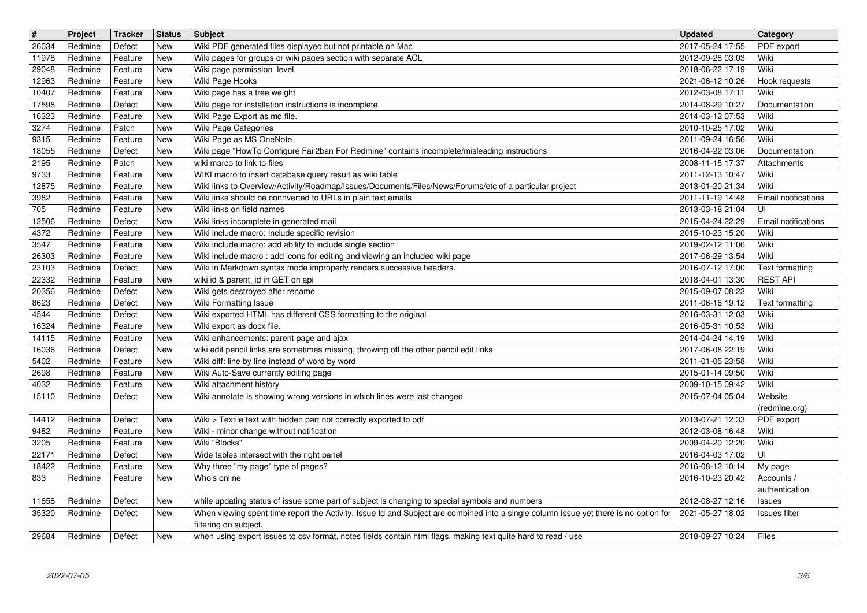| $\sqrt{\frac{4}{15}}$ | Project            | <b>Tracker</b>     | <b>Status</b>     | Subject                                                                                                                                                                | Updated                              | Category                     |
|-----------------------|--------------------|--------------------|-------------------|------------------------------------------------------------------------------------------------------------------------------------------------------------------------|--------------------------------------|------------------------------|
| 26034                 | Redmine            | Defect             | New               | Wiki PDF generated files displayed but not printable on Mac                                                                                                            | 2017-05-24 17:55                     | PDF export                   |
| 11978<br>29048        | Redmine            | Feature            | New<br><b>New</b> | Wiki pages for groups or wiki pages section with separate ACL<br>Wiki page permission level                                                                            | 2012-09-28 03:03                     | Wiki<br>Wiki                 |
| 12963                 | Redmine<br>Redmine | Feature<br>Feature | New               | Wiki Page Hooks                                                                                                                                                        | 2018-06-22 17:19<br>2021-06-12 10:26 | Hook requests                |
| 10407                 | Redmine            | Feature            | New               | Wiki page has a tree weight                                                                                                                                            | 2012-03-08 17:11                     | Wiki                         |
| 17598                 | Redmine            | Defect             | <b>New</b>        | Wiki page for installation instructions is incomplete                                                                                                                  | 2014-08-29 10:27                     | Documentation                |
| 16323                 | Redmine            | Feature            | <b>New</b>        | Wiki Page Export as md file.                                                                                                                                           | 2014-03-12 07:53                     | Wiki                         |
| 3274<br>9315          | Redmine<br>Redmine | Patch<br>Feature   | New<br>New        | Wiki Page Categories<br>Wiki Page as MS OneNote                                                                                                                        | 2010-10-25 17:02<br>2011-09-24 16:56 | Wiki<br>Wiki                 |
| 18055                 | Redmine            | Defect             | New               | Wiki page "HowTo Configure Fail2ban For Redmine" contains incomplete/misleading instructions                                                                           | 2016-04-22 03:06                     | Documentation                |
| 2195                  | Redmine            | Patch              | New               | wiki marco to link to files                                                                                                                                            | 2008-11-15 17:37                     | Attachments                  |
| 9733                  | Redmine            | Feature            | New               | WIKI macro to insert database query result as wiki table                                                                                                               | 2011-12-13 10:47                     | Wiki                         |
| 12875<br>3982         | Redmine<br>Redmine | Feature<br>Feature | New<br><b>New</b> | Wiki links to Overview/Activity/Roadmap/Issues/Documents/Files/News/Forums/etc of a particular project<br>Wiki links should be connverted to URLs in plain text emails | 2013-01-20 21:34<br>2011-11-19 14:48 | Wiki<br>Email notifications  |
| 705                   | Redmine            | Feature            | New               | Wiki links on field names                                                                                                                                              | 2013-03-18 21:04                     | UI                           |
| 12506                 | Redmine            | Defect             | <b>New</b>        | Wiki links incomplete in generated mail                                                                                                                                | 2015-04-24 22:29                     | <b>Email notifications</b>   |
| 4372                  | Redmine            | Feature            | New               | Wiki include macro: Include specific revision                                                                                                                          | 2015-10-23 15:20                     | Wiki                         |
| 3547<br>26303         | Redmine<br>Redmine | Feature<br>Feature | New<br>New        | Wiki include macro: add ability to include single section<br>Wiki include macro: add icons for editing and viewing an included wiki page                               | 2019-02-12 11:06<br>2017-06-29 13:54 | Wiki<br>Wiki                 |
| 23103                 | Redmine            | Defect             | New               | Wiki in Markdown syntax mode improperly renders successive headers.                                                                                                    | 2016-07-12 17:00                     | <b>Text formatting</b>       |
| 22332                 | Redmine            | Feature            | New               | wiki id & parent_id in GET on api                                                                                                                                      | 2018-04-01 13:30                     | <b>REST API</b>              |
| 20356                 | Redmine<br>Redmine | Defect<br>Defect   | New<br>New        | Wiki gets destroyed after rename                                                                                                                                       | 2015-09-07 08:23                     | Wiki                         |
| 8623<br>4544          | Redmine            | Defect             | New               | Wiki Formatting Issue<br>Wiki exported HTML has different CSS formatting to the original                                                                               | 2011-06-16 19:12<br>2016-03-31 12:03 | Text formatting<br>Wiki      |
| 16324                 | Redmine            | Feature            | <b>New</b>        | Wiki export as docx file.                                                                                                                                              | 2016-05-31 10:53                     | Wiki                         |
| 14115                 | Redmine            | Feature            | New               | Wiki enhancements: parent page and ajax                                                                                                                                | 2014-04-24 14:19                     | Wiki                         |
| 16036                 | Redmine            | Defect             | New<br><b>New</b> | wiki edit pencil links are sometimes missing, throwing off the other pencil edit links                                                                                 | 2017-06-08 22:19                     | Wiki<br>Wiki                 |
| 5402<br>2698          | Redmine<br>Redmine | Feature<br>Feature | New               | Wiki diff: line by line instead of word by word<br>Wiki Auto-Save currently editing page                                                                               | 2011-01-05 23:58<br>2015-01-14 09:50 | Wiki                         |
| 4032                  | Redmine            | Feature            | <b>New</b>        | Wiki attachment history                                                                                                                                                | 2009-10-15 09:42                     | Wiki                         |
| 15110                 | Redmine            | Defect             | New               | Wiki annotate is showing wrong versions in which lines were last changed                                                                                               | 2015-07-04 05:04                     | Website                      |
|                       |                    |                    |                   |                                                                                                                                                                        |                                      | (redmine.org)                |
| 14412<br>9482         | Redmine<br>Redmine | Defect<br>Feature  | New<br>New        | Wiki > Textile text with hidden part not correctly exported to pdf<br>Wiki - minor change without notification                                                         | 2013-07-21 12:33<br>2012-03-08 16:48 | PDF export<br>Wiki           |
| 3205                  | Redmine            | Feature            | New               | Wiki "Blocks"                                                                                                                                                          | 2009-04-20 12:20                     | Wiki                         |
| 22171                 | Redmine            | Defect             | New               | Wide tables intersect with the right panel                                                                                                                             | 2016-04-03 17:02                     | UI                           |
| 18422                 | Redmine            | Feature            | New               | Why three "my page" type of pages?                                                                                                                                     | 2016-08-12 10:14                     | My page                      |
| 833                   | Redmine            | Feature            | <b>New</b>        | Who's online                                                                                                                                                           | 2016-10-23 20:42                     | Accounts /<br>authentication |
| 11658                 | Redmine            | Defect             | New               | while updating status of issue some part of subject is changing to special symbols and numbers                                                                         | 2012-08-27 12:16                     | <b>Issues</b>                |
| 35320                 | Redmine            | Defect             | New               | When viewing spent time report the Activity, Issue Id and Subject are combined into a single column Issue yet there is no option for                                   | 2021-05-27 18:02                     | Issues filter                |
| 29684                 | Redmine            | Defect             | New               | filtering on subject.<br>when using export issues to csv format, notes fields contain html flags, making text quite hard to read / use                                 | 2018-09-27 10:24                     | Files                        |
|                       |                    |                    |                   |                                                                                                                                                                        |                                      |                              |
|                       |                    |                    |                   |                                                                                                                                                                        |                                      |                              |
|                       |                    |                    |                   |                                                                                                                                                                        |                                      |                              |
|                       |                    |                    |                   |                                                                                                                                                                        |                                      |                              |
|                       |                    |                    |                   |                                                                                                                                                                        |                                      |                              |
|                       |                    |                    |                   |                                                                                                                                                                        |                                      |                              |
|                       |                    |                    |                   |                                                                                                                                                                        |                                      |                              |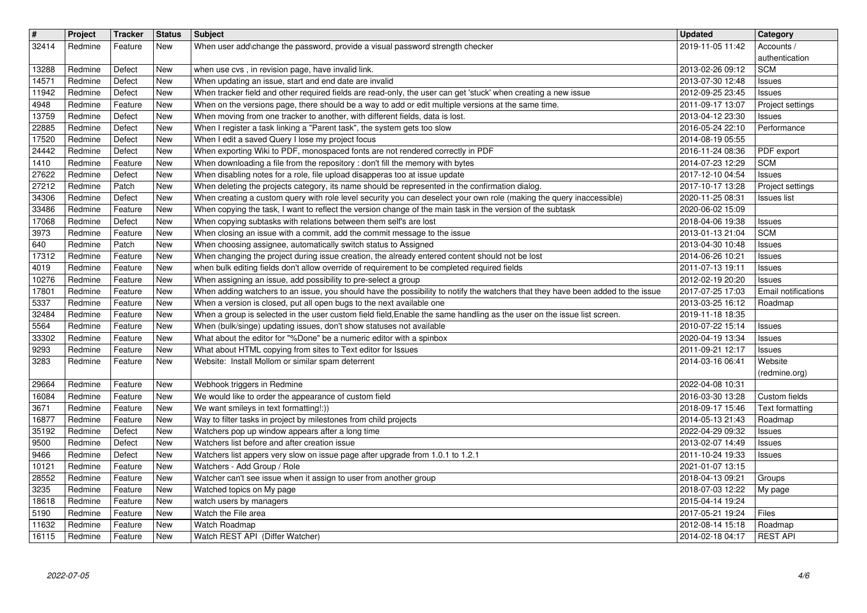| $\overline{\mathbf{H}}$<br>32414 | Project<br>Redmine | <b>Tracker</b><br>Feature | <b>Status</b><br>New     | <b>Subject</b><br>When user add\change the password, provide a visual password strength checker                                                                                                                                    | <b>Updated</b><br>2019-11-05 11:42   | Category<br>Accounts /                      |
|----------------------------------|--------------------|---------------------------|--------------------------|------------------------------------------------------------------------------------------------------------------------------------------------------------------------------------------------------------------------------------|--------------------------------------|---------------------------------------------|
| 13288                            | Redmine            | Defect                    | New                      | when use cvs, in revision page, have invalid link.                                                                                                                                                                                 | 2013-02-26 09:12                     | authentication<br><b>SCM</b>                |
| 14571<br>11942                   | Redmine<br>Redmine | Defect<br>Defect          | New<br>New               | When updating an issue, start and end date are invalid<br>When tracker field and other required fields are read-only, the user can get 'stuck' when creating a new issue                                                           | 2013-07-30 12:48<br>2012-09-25 23:45 | Issues                                      |
| 4948                             | Redmine            | Feature                   | <b>New</b>               | When on the versions page, there should be a way to add or edit multiple versions at the same time.                                                                                                                                | 2011-09-17 13:07                     | <b>Issues</b><br>Project settings           |
| 13759<br>22885                   | Redmine<br>Redmine | Defect<br>Defect          | New<br>New               | When moving from one tracker to another, with different fields, data is lost.<br>When I register a task linking a "Parent task", the system gets too slow                                                                          | 2013-04-12 23:30<br>2016-05-24 22:10 | <b>Issues</b><br>Performance                |
| 17520<br>24442                   | Redmine<br>Redmine | Defect<br>Defect          | <b>New</b><br><b>New</b> | When I edit a saved Query I lose my project focus<br>When exporting Wiki to PDF, monospaced fonts are not rendered correctly in PDF                                                                                                | 2014-08-19 05:55<br>2016-11-24 08:36 | PDF export                                  |
| 1410                             | Redmine            | Feature                   | <b>New</b><br><b>New</b> | When downloading a file from the repository : don't fill the memory with bytes<br>When disabling notes for a role, file upload disapperas too at issue update                                                                      | 2014-07-23 12:29                     | <b>SCM</b>                                  |
| 27622<br>27212                   | Redmine<br>Redmine | Defect<br>Patch           | <b>New</b>               | When deleting the projects category, its name should be represented in the confirmation dialog.                                                                                                                                    | 2017-12-10 04:54<br>2017-10-17 13:28 | <b>Issues</b><br>Project settings           |
| 34306<br>33486                   | Redmine<br>Redmine | Defect<br>Feature         | <b>New</b><br><b>New</b> | When creating a custom query with role level security you can deselect your own role (making the query inaccessible)<br>When copying the task, I want to reflect the version change of the main task in the version of the subtask | 2020-11-25 08:31<br>2020-06-02 15:09 | <b>Issues list</b>                          |
| 17068<br>3973                    | Redmine<br>Redmine | Defect<br>Feature         | New<br>New               | When copying subtasks with relations between them self's are lost<br>When closing an issue with a commit, add the commit message to the issue                                                                                      | 2018-04-06 19:38<br>2013-01-13 21:04 | Issues<br><b>SCM</b>                        |
| 640<br>17312                     | Redmine<br>Redmine | Patch<br>Feature          | New<br>New               | When choosing assignee, automatically switch status to Assigned<br>When changing the project during issue creation, the already entered content should not be lost                                                                 | 2013-04-30 10:48<br>2014-06-26 10:21 | <b>Issues</b><br><b>Issues</b>              |
| 4019                             | Redmine            | Feature                   | New                      | when bulk editing fields don't allow override of requirement to be completed required fields                                                                                                                                       | 2011-07-13 19:11                     | <b>Issues</b>                               |
| 10276<br>17801                   | Redmine<br>Redmine | Feature<br>Feature        | New<br>New               | When assigning an issue, add possibility to pre-select a group<br>When adding watchers to an issue, you should have the possibility to notify the watchers that they have been added to the issue                                  | 2012-02-19 20:20<br>2017-07-25 17:03 | <b>Issues</b><br><b>Email notifications</b> |
| 5337<br>32484                    | Redmine<br>Redmine | Feature<br>Feature        | New<br>New               | When a version is closed, put all open bugs to the next available one<br>When a group is selected in the user custom field field, Enable the same handling as the user on the issue list screen.                                   | 2013-03-25 16:12<br>2019-11-18 18:35 | Roadmap                                     |
| 5564<br>33302                    | Redmine<br>Redmine | Feature<br>Feature        | New<br>New               | When (bulk/singe) updating issues, don't show statuses not available<br>What about the editor for "%Done" be a numeric editor with a spinbox                                                                                       | 2010-07-22 15:14<br>2020-04-19 13:34 | Issues<br><b>Issues</b>                     |
| 9293                             | Redmine            | Feature                   | New                      | What about HTML copying from sites to Text editor for Issues                                                                                                                                                                       | 2011-09-21 12:17                     | <b>Issues</b>                               |
| 3283                             | Redmine            | Feature                   | New                      | Website: Install Mollom or similar spam deterrent                                                                                                                                                                                  | 2014-03-16 06:41                     | Website<br>(redmine.org)                    |
| 29664<br>16084                   | Redmine<br>Redmine | Feature<br>Feature        | New<br>New               | Webhook triggers in Redmine<br>We would like to order the appearance of custom field                                                                                                                                               | 2022-04-08 10:31<br>2016-03-30 13:28 | Custom fields                               |
| 3671                             | Redmine            | Feature                   | New                      | We want smileys in text formatting!:))                                                                                                                                                                                             | 2018-09-17 15:46                     | Text formatting                             |
| 16877<br>35192                   | Redmine<br>Redmine | Feature<br>Defect         | New<br>New               | Way to filter tasks in project by milestones from child projects<br>Watchers pop up window appears after a long time                                                                                                               | 2014-05-13 21:43<br>2022-04-29 09:32 | Roadmap<br>Issues                           |
| 9500<br>9466                     | Redmine<br>Redmine | Defect<br>Defect          | <b>New</b><br><b>New</b> | Watchers list before and after creation issue<br>Watchers list appers very slow on issue page after upgrade from 1.0.1 to 1.2.1                                                                                                    | 2013-02-07 14:49<br>2011-10-24 19:33 | Issues<br>Issues                            |
| 10121<br>28552                   | Redmine<br>Redmine | Feature<br>Feature        | <b>New</b><br>New        | Watchers - Add Group / Role<br>Watcher can't see issue when it assign to user from another group                                                                                                                                   | 2021-01-07 13:15<br>2018-04-13 09:21 | Groups                                      |
| 3235                             | Redmine            | Feature                   | New                      | Watched topics on My page                                                                                                                                                                                                          | 2018-07-03 12:22   My page           |                                             |
| 18618<br>5190                    | Redmine<br>Redmine | Feature<br>Feature        | New<br>New               | watch users by managers<br>Watch the File area                                                                                                                                                                                     | 2015-04-14 19:24<br>2017-05-21 19:24 | Files                                       |
| 11632<br>16115                   | Redmine<br>Redmine | Feature<br>Feature        | <b>New</b><br><b>New</b> | Watch Roadmap<br>Watch REST API (Differ Watcher)                                                                                                                                                                                   | 2012-08-14 15:18<br>2014-02-18 04:17 | Roadmap<br><b>REST API</b>                  |
|                                  |                    |                           |                          |                                                                                                                                                                                                                                    |                                      |                                             |
|                                  |                    |                           |                          |                                                                                                                                                                                                                                    |                                      |                                             |
|                                  |                    |                           |                          |                                                                                                                                                                                                                                    |                                      |                                             |
|                                  |                    |                           |                          |                                                                                                                                                                                                                                    |                                      |                                             |
|                                  |                    |                           |                          |                                                                                                                                                                                                                                    |                                      |                                             |
|                                  |                    |                           |                          |                                                                                                                                                                                                                                    |                                      |                                             |
|                                  |                    |                           |                          |                                                                                                                                                                                                                                    |                                      |                                             |
|                                  |                    |                           |                          |                                                                                                                                                                                                                                    |                                      |                                             |
|                                  |                    |                           |                          |                                                                                                                                                                                                                                    |                                      |                                             |
|                                  |                    |                           |                          |                                                                                                                                                                                                                                    |                                      |                                             |
|                                  |                    |                           |                          |                                                                                                                                                                                                                                    |                                      |                                             |
|                                  |                    |                           |                          |                                                                                                                                                                                                                                    |                                      |                                             |
|                                  |                    |                           |                          |                                                                                                                                                                                                                                    |                                      |                                             |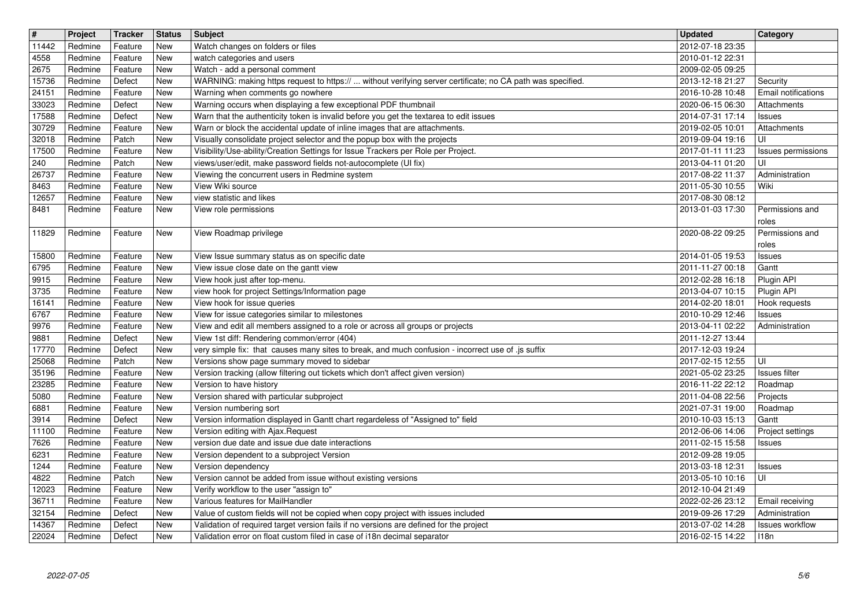| $\overline{\mathbf{H}}$<br>11442 | Project<br>Redmine | Tracker<br>Feature | <b>Status</b><br>New     | Subject<br>Watch changes on folders or files                                                                                                                       | <b>Updated</b><br>2012-07-18 23:35   | <b>Category</b>              |
|----------------------------------|--------------------|--------------------|--------------------------|--------------------------------------------------------------------------------------------------------------------------------------------------------------------|--------------------------------------|------------------------------|
| 4558                             | Redmine            | Feature            | New                      | watch categories and users                                                                                                                                         | 2010-01-12 22:31                     |                              |
| 2675<br>15736                    | Redmine<br>Redmine | Feature<br>Defect  | New<br><b>New</b>        | Watch - add a personal comment<br>WARNING: making https request to https://  without verifying server certificate; no CA path was specified.                       | 2009-02-05 09:25<br>2013-12-18 21:27 | Security                     |
| 24151                            | Redmine            | Feature            | New                      | Warning when comments go nowhere                                                                                                                                   | 2016-10-28 10:48                     | <b>Email notifications</b>   |
| 33023<br>17588                   | Redmine<br>Redmine | Defect<br>Defect   | New<br>New               | Warning occurs when displaying a few exceptional PDF thumbnail<br>Warn that the authenticity token is invalid before you get the textarea to edit issues           | 2020-06-15 06:30<br>2014-07-31 17:14 | Attachments<br><b>Issues</b> |
| 30729                            | Redmine            | Feature            | New                      | Warn or block the accidental update of inline images that are attachments.                                                                                         | 2019-02-05 10:01                     | Attachments                  |
| 32018<br>17500                   | Redmine<br>Redmine | Patch<br>Feature   | New<br>New               | Visually consolidate project selector and the popup box with the projects<br>Visibility/Use-ability/Creation Settings for Issue Trackers per Role per Project.     | 2019-09-04 19:16<br>2017-01-11 11:23 | UI<br>Issues permissions     |
| 240                              | Redmine            | Patch              | New                      | views/user/edit, make password fields not-autocomplete (UI fix)                                                                                                    | 2013-04-11 01:20                     | UI                           |
| 26737<br>8463                    | Redmine<br>Redmine | Feature<br>Feature | New<br>New               | Viewing the concurrent users in Redmine system<br>View Wiki source                                                                                                 | 2017-08-22 11:37<br>2011-05-30 10:55 | Administration<br>Wiki       |
| 12657                            | Redmine            | Feature            | New                      | view statistic and likes                                                                                                                                           | 2017-08-30 08:12                     |                              |
| 8481                             | Redmine            | Feature            | New                      | View role permissions                                                                                                                                              | 2013-01-03 17:30                     | Permissions and<br>roles     |
| 11829                            | Redmine            | Feature            | New                      | View Roadmap privilege                                                                                                                                             | 2020-08-22 09:25                     | Permissions and              |
| 15800                            | Redmine            | Feature            | New                      | View Issue summary status as on specific date                                                                                                                      | 2014-01-05 19:53                     | roles<br><b>Issues</b>       |
| 6795                             | Redmine            | Feature            | New                      | View issue close date on the gantt view                                                                                                                            | 2011-11-27 00:18                     | Gantt                        |
| 9915<br>3735                     | Redmine<br>Redmine | Feature<br>Feature | New<br><b>New</b>        | View hook just after top-menu.<br>view hook for project Settings/Information page                                                                                  | 2012-02-28 16:18<br>2013-04-07 10:15 | Plugin API<br>Plugin API     |
| 16141                            | Redmine            | Feature            | <b>New</b>               | View hook for issue queries                                                                                                                                        | 2014-02-20 18:01                     | Hook requests                |
| 6767<br>9976                     | Redmine<br>Redmine | Feature<br>Feature | New<br>New               | View for issue categories similar to milestones<br>View and edit all members assigned to a role or across all groups or projects                                   | 2010-10-29 12:46<br>2013-04-11 02:22 | Issues<br>Administration     |
| 9881                             | Redmine            | Defect             | New                      | View 1st diff: Rendering common/error (404)                                                                                                                        | 2011-12-27 13:44                     |                              |
| 17770<br>25068                   | Redmine<br>Redmine | Defect<br>Patch    | New<br>New               | very simple fix: that causes many sites to break, and much confusion - incorrect use of .js suffix<br>Versions show page summary moved to sidebar                  | 2017-12-03 19:24<br>2017-02-15 12:55 | UI                           |
| 35196                            | Redmine            | Feature            | New                      | Version tracking (allow filtering out tickets which don't affect given version)                                                                                    | 2021-05-02 23:25                     | <b>Issues</b> filter         |
| 23285<br>5080                    | Redmine<br>Redmine | Feature<br>Feature | <b>New</b><br><b>New</b> | Version to have history<br>Version shared with particular subproject                                                                                               | 2016-11-22 22:12<br>2011-04-08 22:56 | Roadmap<br>Projects          |
| 6881                             | Redmine            | Feature            | New                      | Version numbering sort                                                                                                                                             | 2021-07-31 19:00                     | Roadmap                      |
| 3914<br>11100                    | Redmine<br>Redmine | Defect<br>Feature  | New<br>New               | Version information displayed in Gantt chart regardeless of "Assigned to" field<br>Version editing with Ajax. Request                                              | 2010-10-03 15:13<br>2012-06-06 14:06 | Gantt<br>Project settings    |
| 7626                             | Redmine            | Feature            | New                      | version due date and issue due date interactions                                                                                                                   | 2011-02-15 15:58                     | <b>Issues</b>                |
| 6231<br>1244                     | Redmine<br>Redmine | Feature<br>Feature | New<br>New               | Version dependent to a subproject Version<br>Version dependency                                                                                                    | 2012-09-28 19:05<br>2013-03-18 12:31 | <b>Issues</b>                |
| 4822                             | Redmine            | Patch              | New                      | Version cannot be added from issue without existing versions                                                                                                       | 2013-05-10 10:16                     | UI                           |
| 12023<br>36711                   | Redmine<br>Redmine | Feature<br>Feature | New<br>New               | Verify workflow to the user "assign to"<br>Various features for MailHandler                                                                                        | 2012-10-04 21:49<br>2022-02-26 23:12 | Email receiving              |
| 32154                            | Redmine            | Defect             | New                      | Value of custom fields will not be copied when copy project with issues included                                                                                   | 2019-09-26 17:29                     | Administration               |
| 14367<br>22024                   | Redmine<br>Redmine | Defect<br>Defect   | New<br>New               | Validation of required target version fails if no versions are defined for the project<br>Validation error on float custom filed in case of i18n decimal separator | 2013-07-02 14:28<br>2016-02-15 14:22 | Issues workflow<br>118n      |
|                                  |                    |                    |                          |                                                                                                                                                                    |                                      |                              |
|                                  |                    |                    |                          |                                                                                                                                                                    |                                      |                              |
|                                  |                    |                    |                          |                                                                                                                                                                    |                                      |                              |
|                                  |                    |                    |                          |                                                                                                                                                                    |                                      |                              |
|                                  |                    |                    |                          |                                                                                                                                                                    |                                      |                              |
|                                  |                    |                    |                          |                                                                                                                                                                    |                                      |                              |
|                                  |                    |                    |                          |                                                                                                                                                                    |                                      |                              |
|                                  |                    |                    |                          |                                                                                                                                                                    |                                      |                              |
|                                  |                    |                    |                          |                                                                                                                                                                    |                                      |                              |
|                                  |                    |                    |                          |                                                                                                                                                                    |                                      |                              |
|                                  |                    |                    |                          |                                                                                                                                                                    |                                      |                              |
|                                  |                    |                    |                          |                                                                                                                                                                    |                                      |                              |
|                                  |                    |                    |                          |                                                                                                                                                                    |                                      |                              |
|                                  |                    |                    |                          |                                                                                                                                                                    |                                      |                              |
|                                  |                    |                    |                          |                                                                                                                                                                    |                                      |                              |